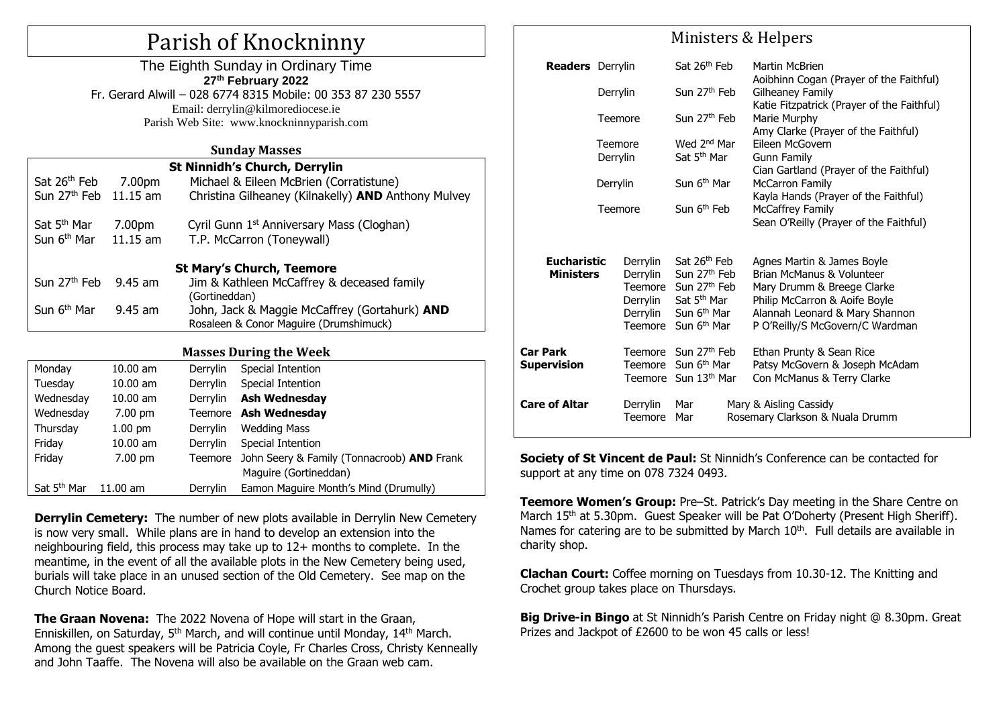# Parish of Knockninny

The Eighth Sunday in Ordinary Time **27 th February 2022** Fr. Gerard Alwill – 028 6774 8315 Mobile: 00 353 87 230 5557 Email: derrylin@kilmorediocese.ie Parish Web Site: www.knockninnyparish.com

#### **Sunday Masses**

| St Ninnidh's Church, Derrylin     |            |                                                       |  |  |  |  |  |
|-----------------------------------|------------|-------------------------------------------------------|--|--|--|--|--|
| Sat 26 <sup>th</sup> Feb          | 7.00pm     | Michael & Eileen McBrien (Corratistune)               |  |  |  |  |  |
| Sun 27 <sup>th</sup> Feb 11.15 am |            | Christina Gilheaney (Kilnakelly) AND Anthony Mulvey   |  |  |  |  |  |
| Sat 5 <sup>th</sup> Mar           | 7.00pm     | Cyril Gunn 1 <sup>st</sup> Anniversary Mass (Cloghan) |  |  |  |  |  |
| Sun 6 <sup>th</sup> Mar           | $11.15$ am | T.P. McCarron (Toneywall)                             |  |  |  |  |  |
| <b>St Mary's Church, Teemore</b>  |            |                                                       |  |  |  |  |  |
| Sun 27 <sup>th</sup> Feb          | 9.45 am    | Jim & Kathleen McCaffrey & deceased family            |  |  |  |  |  |
|                                   |            | (Gortineddan)                                         |  |  |  |  |  |
| Sun 6 <sup>th</sup> Mar           | $9.45$ am  | John, Jack & Maggie McCaffrey (Gortahurk) AND         |  |  |  |  |  |
|                                   |            | Rosaleen & Conor Maguire (Drumshimuck)                |  |  |  |  |  |

#### **Masses During the Week**

| Monday                  | $10.00$ am         | Derrylin        | Special Intention                          |  |
|-------------------------|--------------------|-----------------|--------------------------------------------|--|
| Tuesday                 | $10.00$ am         | Derrylin        | Special Intention                          |  |
| Wednesday               | $10.00$ am         | Derrylin        | <b>Ash Wednesday</b>                       |  |
| Wednesday               | $7.00$ pm          |                 | Teemore Ash Wednesday                      |  |
| Thursday                | $1.00$ pm          | Derrylin        | <b>Wedding Mass</b>                        |  |
| Friday                  | $10.00$ am         | Derrylin        | Special Intention                          |  |
| Friday                  | $7.00$ pm          | Teemore         | John Seery & Family (Tonnacroob) AND Frank |  |
|                         |                    |                 | Maguire (Gortineddan)                      |  |
| Sat 5 <sup>th</sup> Mar | $11.00 \text{ am}$ | <b>Derrylin</b> | Eamon Maguire Month's Mind (Drumully)      |  |

**Derrylin Cemetery:** The number of new plots available in Derrylin New Cemetery is now very small. While plans are in hand to develop an extension into the neighbouring field, this process may take up to 12+ months to complete. In the meantime, in the event of all the available plots in the New Cemetery being used, burials will take place in an unused section of the Old Cemetery. See map on the Church Notice Board.

**The Graan Novena:** The 2022 Novena of Hope will start in the Graan, Enniskillen, on Saturday, 5<sup>th</sup> March, and will continue until Monday, 14<sup>th</sup> March. Among the guest speakers will be Patricia Coyle, Fr Charles Cross, Christy Kenneally and John Taaffe. The Novena will also be available on the Graan web cam.

## Ministers & Helpers

| <b>Readers</b> Derrylin                |                                                                   |                                                         | Sat 26 <sup>th</sup> Feb                                                                                                                                                  |                                        | Martin McBrien                                                                                                                                                                              |  |
|----------------------------------------|-------------------------------------------------------------------|---------------------------------------------------------|---------------------------------------------------------------------------------------------------------------------------------------------------------------------------|----------------------------------------|---------------------------------------------------------------------------------------------------------------------------------------------------------------------------------------------|--|
|                                        | Derrylin<br>Teemore<br>Teemore<br>Derrylin<br>Derrylin<br>Teemore |                                                         | Sun 27 <sup>th</sup> Feb                                                                                                                                                  |                                        | Aoibhinn Cogan (Prayer of the Faithful)<br>Gilheaney Family                                                                                                                                 |  |
|                                        |                                                                   |                                                         |                                                                                                                                                                           |                                        | Katie Fitzpatrick (Prayer of the Faithful)                                                                                                                                                  |  |
|                                        |                                                                   |                                                         | Sun 27 <sup>th</sup> Feb                                                                                                                                                  |                                        | Marie Murphy<br>Amy Clarke (Prayer of the Faithful)                                                                                                                                         |  |
|                                        |                                                                   |                                                         | Wed 2 <sup>nd</sup> Mar                                                                                                                                                   |                                        | <b>Fileen McGovern</b>                                                                                                                                                                      |  |
|                                        |                                                                   |                                                         | Sat 5 <sup>th</sup> Mar<br>Gunn Family<br>Cian Gartland (Prayer of the Faithful)<br>Sun 6 <sup>th</sup> Mar<br><b>McCarron Family</b><br>Sun 6 <sup>th</sup> Feb          |                                        |                                                                                                                                                                                             |  |
|                                        |                                                                   |                                                         |                                                                                                                                                                           |                                        |                                                                                                                                                                                             |  |
|                                        |                                                                   |                                                         |                                                                                                                                                                           |                                        | Kayla Hands (Prayer of the Faithful)<br><b>McCaffrey Family</b>                                                                                                                             |  |
|                                        |                                                                   |                                                         |                                                                                                                                                                           | Sean O'Reilly (Prayer of the Faithful) |                                                                                                                                                                                             |  |
|                                        |                                                                   |                                                         |                                                                                                                                                                           |                                        |                                                                                                                                                                                             |  |
| <b>Eucharistic</b><br><b>Ministers</b> |                                                                   | Derrylin<br>Derrylin<br>Derrylin<br>Derrylin<br>Teemore | Sat 26 <sup>th</sup> Feb<br>Sun 27 <sup>th</sup> Feb<br>Teemore Sun 27 <sup>th</sup> Feb<br>Sat 5 <sup>th</sup> Mar<br>Sun 6 <sup>th</sup> Mar<br>Sun 6 <sup>th</sup> Mar |                                        | Agnes Martin & James Boyle<br>Brian McManus & Volunteer<br>Mary Drumm & Breege Clarke<br>Philip McCarron & Aoife Boyle<br>Alannah Leonard & Mary Shannon<br>P O'Reilly/S McGovern/C Wardman |  |
| <b>Car Park</b><br><b>Supervision</b>  |                                                                   |                                                         | Teemore Sun 27th Feb<br>Teemore Sun 6 <sup>th</sup> Mar<br>Teemore Sun 13th Mar                                                                                           |                                        | Ethan Prunty & Sean Rice<br>Patsy McGovern & Joseph McAdam<br>Con McManus & Terry Clarke                                                                                                    |  |
| <b>Care of Altar</b>                   |                                                                   | Derrylin<br>Teemore                                     | Mar<br>Mar                                                                                                                                                                |                                        | Mary & Aisling Cassidy<br>Rosemary Clarkson & Nuala Drumm                                                                                                                                   |  |

**Society of St Vincent de Paul:** St Ninnidh's Conference can be contacted for support at any time on 078 7324 0493.

**Teemore Women's Group:** Pre–St. Patrick's Day meeting in the Share Centre on March 15<sup>th</sup> at 5.30pm. Guest Speaker will be Pat O'Doherty (Present High Sheriff). Names for catering are to be submitted by March 10<sup>th</sup>. Full details are available in charity shop.

**Clachan Court:** Coffee morning on Tuesdays from 10.30-12. The Knitting and Crochet group takes place on Thursdays.

**Big Drive-in Bingo** at St Ninnidh's Parish Centre on Friday night @ 8.30pm. Great Prizes and Jackpot of £2600 to be won 45 calls or less!